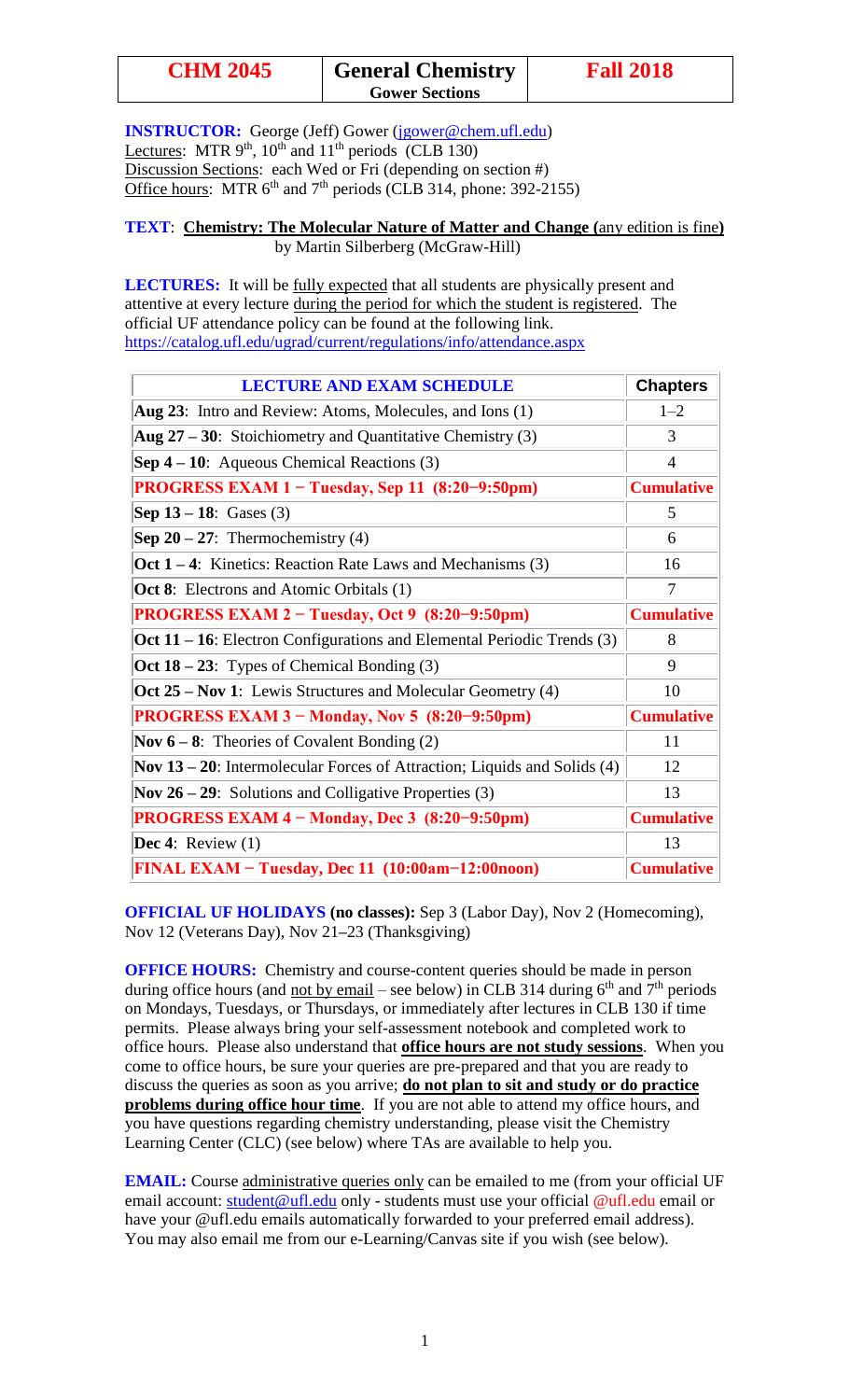**CHM 2045 General Chemistry**

**Gower Sections**

**INSTRUCTOR:** George (Jeff) Gower [\(jgower@chem.ufl.edu\)](mailto:jgower@chem.ufl.edu) Lectures: MTR  $9<sup>th</sup>$ ,  $10<sup>th</sup>$  and  $11<sup>th</sup>$  periods (CLB 130) Discussion Sections: each Wed or Fri (depending on section #) Office hours: MTR  $6<sup>th</sup>$  and  $7<sup>th</sup>$  periods (CLB 314, phone: 392-2155)

**TEXT**: **Chemistry: The Molecular Nature of Matter and Change (**any edition is fine**)** by Martin Silberberg (McGraw-Hill)

**LECTURES:** It will be fully expected that all students are physically present and attentive at every lecture during the period for which the student is registered. The official UF attendance policy can be found at the following link. <https://catalog.ufl.edu/ugrad/current/regulations/info/attendance.aspx>

| <b>LECTURE AND EXAM SCHEDULE</b>                                              | <b>Chapters</b>   |
|-------------------------------------------------------------------------------|-------------------|
| Aug 23: Intro and Review: Atoms, Molecules, and Ions (1)                      | $1 - 2$           |
| Aug $27 - 30$ : Stoichiometry and Quantitative Chemistry (3)                  | 3                 |
| <b>Sep 4 – 10:</b> Aqueous Chemical Reactions $(3)$                           | $\overline{4}$    |
| PROGRESS EXAM 1 - Tuesday, Sep 11 (8:20-9:50pm)                               | <b>Cumulative</b> |
| <b>Sep 13 – 18</b> : Gases $(3)$                                              | 5                 |
| Sep $20 - 27$ : Thermochemistry (4)                                           | 6                 |
| <b>Oct 1 – 4:</b> Kinetics: Reaction Rate Laws and Mechanisms $(3)$           | 16                |
| <b>Oct 8:</b> Electrons and Atomic Orbitals (1)                               | 7                 |
| <b>PROGRESS EXAM 2 - Tuesday, Oct 9 (8:20-9:50pm)</b>                         | <b>Cumulative</b> |
| Oct 11 - 16: Electron Configurations and Elemental Periodic Trends (3)        | 8                 |
| Oct $18 - 23$ : Types of Chemical Bonding (3)                                 | 9                 |
| Oct $25 - Nov 1$ : Lewis Structures and Molecular Geometry (4)                | 10                |
| PROGRESS EXAM 3 - Monday, Nov 5 (8:20-9:50pm)                                 | <b>Cumulative</b> |
| Nov $6 - 8$ : Theories of Covalent Bonding (2)                                | 11                |
| Nov $13 - 20$ : Intermolecular Forces of Attraction; Liquids and Solids $(4)$ | 12                |
| Nov $26 - 29$ : Solutions and Colligative Properties (3)                      | 13                |
| <b>PROGRESS EXAM 4 - Monday, Dec 3 (8:20-9:50pm)</b>                          | <b>Cumulative</b> |
| Dec 4: Review $(1)$                                                           | 13                |
| FINAL EXAM – Tuesday, Dec 11 (10:00am–12:00noon)                              | <b>Cumulative</b> |

**OFFICIAL UF HOLIDAYS (no classes):** Sep 3 (Labor Day), Nov 2 (Homecoming), Nov 12 (Veterans Day), Nov 21**–**23 (Thanksgiving)

**OFFICE HOURS:** Chemistry and course-content queries should be made in person during office hours (and <u>not by email</u> – see below) in CLB 314 during  $6<sup>th</sup>$  and  $7<sup>th</sup>$  periods on Mondays, Tuesdays, or Thursdays, or immediately after lectures in CLB 130 if time permits. Please always bring your self-assessment notebook and completed work to office hours. Please also understand that **office hours are not study sessions**. When you come to office hours, be sure your queries are pre-prepared and that you are ready to discuss the queries as soon as you arrive; **do not plan to sit and study or do practice problems during office hour time**. If you are not able to attend my office hours, and you have questions regarding chemistry understanding, please visit the Chemistry Learning Center (CLC) (see below) where TAs are available to help you.

**EMAIL:** Course administrative queries only can be emailed to me (from your official UF email account: [student@ufl.edu](mailto:student@ufl.edu) only - students must use your official @ufl.edu email or have your @ufl.edu emails automatically forwarded to your preferred email address). You may also email me from our e-Learning/Canvas site if you wish (see below).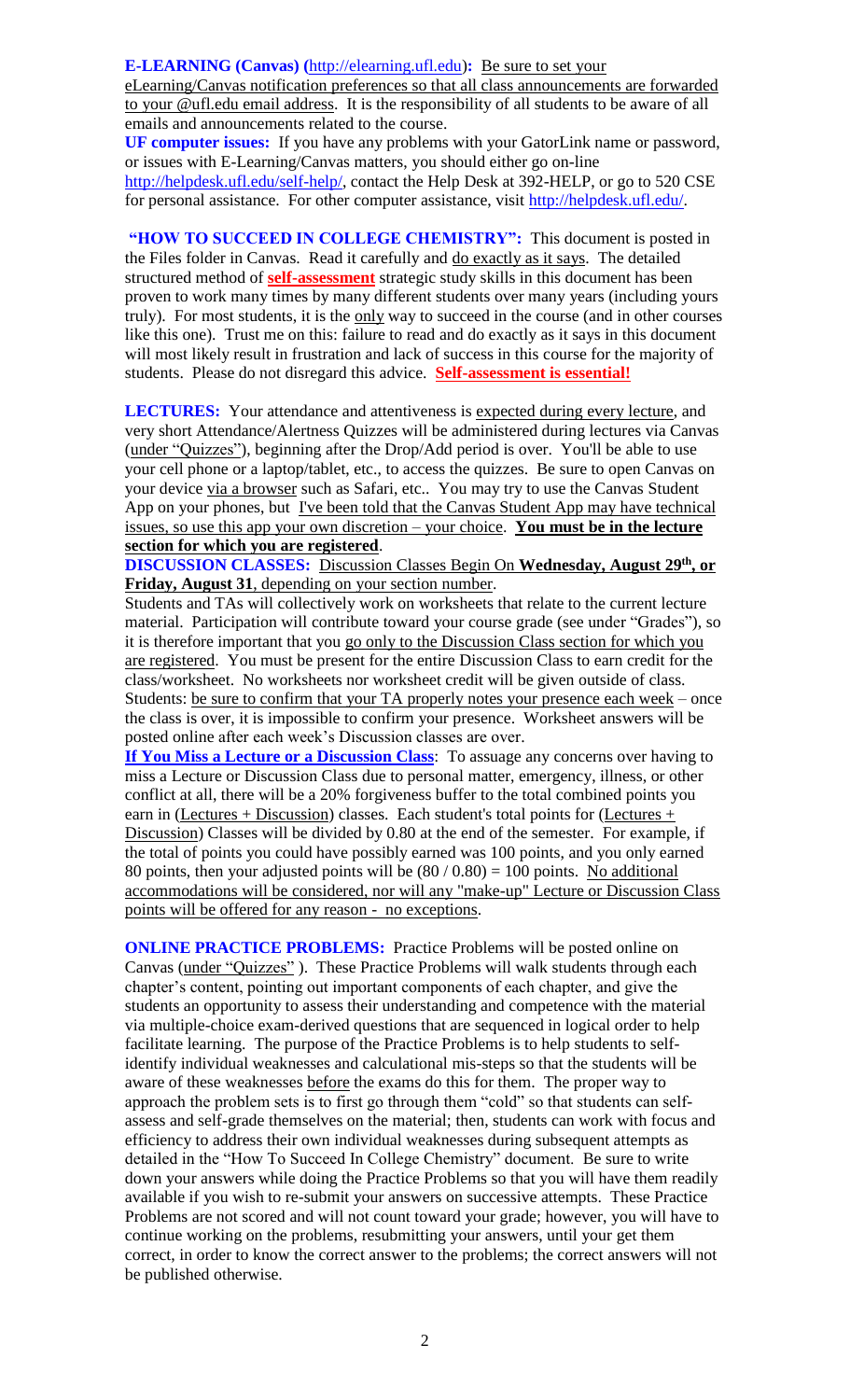## **E-LEARNING (Canvas) (**[http://elearning.ufl.edu\)](http://elearning.ufl.edu/)**:** Be sure to set your

eLearning/Canvas notification preferences so that all class announcements are forwarded to your @ufl.edu email address. It is the responsibility of all students to be aware of all emails and announcements related to the course.

**UF computer issues:** If you have any problems with your GatorLink name or password, or issues with E-Learning/Canvas matters, you should either go on-line [http://helpdesk.ufl.edu/self-help/,](http://helpdesk.ufl.edu/self-help/) contact the Help Desk at 392-HELP, or go to 520 CSE for personal assistance. For other computer assistance, visit [http://helpdesk.ufl.edu/.](http://helpdesk.ufl.edu/)

**"HOW TO SUCCEED IN COLLEGE CHEMISTRY":** This document is posted in the Files folder in Canvas. Read it carefully and do exactly as it says. The detailed structured method of **self-assessment** strategic study skills in this document has been proven to work many times by many different students over many years (including yours truly). For most students, it is the only way to succeed in the course (and in other courses like this one). Trust me on this: failure to read and do exactly as it says in this document will most likely result in frustration and lack of success in this course for the majority of students. Please do not disregard this advice. **Self-assessment is essential!**

**LECTURES:** Your attendance and attentiveness is expected during every lecture, and very short Attendance/Alertness Quizzes will be administered during lectures via Canvas (under "Quizzes"), beginning after the Drop/Add period is over. You'll be able to use your cell phone or a laptop/tablet, etc., to access the quizzes. Be sure to open Canvas on your device via a browser such as Safari, etc.. You may try to use the Canvas Student App on your phones, but <u>I've been told that the Canvas Student App may have technical</u> issues, so use this app your own discretion – your choice. **You must be in the lecture section for which you are registered**.

**DISCUSSION CLASSES:** Discussion Classes Begin On Wednesday, August 29<sup>th</sup>, or **Friday, August 31**, depending on your section number.

Students and TAs will collectively work on worksheets that relate to the current lecture material. Participation will contribute toward your course grade (see under "Grades"), so it is therefore important that you go only to the Discussion Class section for which you are registered. You must be present for the entire Discussion Class to earn credit for the class/worksheet. No worksheets nor worksheet credit will be given outside of class. Students: be sure to confirm that your TA properly notes your presence each week – once the class is over, it is impossible to confirm your presence. Worksheet answers will be posted online after each week's Discussion classes are over.

**If You Miss a Lecture or a Discussion Class**: To assuage any concerns over having to miss a Lecture or Discussion Class due to personal matter, emergency, illness, or other conflict at all, there will be a 20% forgiveness buffer to the total combined points you earn in (Lectures + Discussion) classes. Each student's total points for (Lectures  $+$ Discussion) Classes will be divided by 0.80 at the end of the semester. For example, if the total of points you could have possibly earned was 100 points, and you only earned 80 points, then your adjusted points will be  $(80/0.80) = 100$  points. No additional accommodations will be considered, nor will any "make-up" Lecture or Discussion Class points will be offered for any reason - no exceptions.

**ONLINE PRACTICE PROBLEMS:** Practice Problems will be posted online on Canvas (under "Quizzes" ). These Practice Problems will walk students through each chapter's content, pointing out important components of each chapter, and give the students an opportunity to assess their understanding and competence with the material via multiple-choice exam-derived questions that are sequenced in logical order to help facilitate learning. The purpose of the Practice Problems is to help students to selfidentify individual weaknesses and calculational mis-steps so that the students will be aware of these weaknesses before the exams do this for them. The proper way to approach the problem sets is to first go through them "cold" so that students can selfassess and self-grade themselves on the material; then, students can work with focus and efficiency to address their own individual weaknesses during subsequent attempts as detailed in the "How To Succeed In College Chemistry" document. Be sure to write down your answers while doing the Practice Problems so that you will have them readily available if you wish to re-submit your answers on successive attempts. These Practice Problems are not scored and will not count toward your grade; however, you will have to continue working on the problems, resubmitting your answers, until your get them correct, in order to know the correct answer to the problems; the correct answers will not be published otherwise.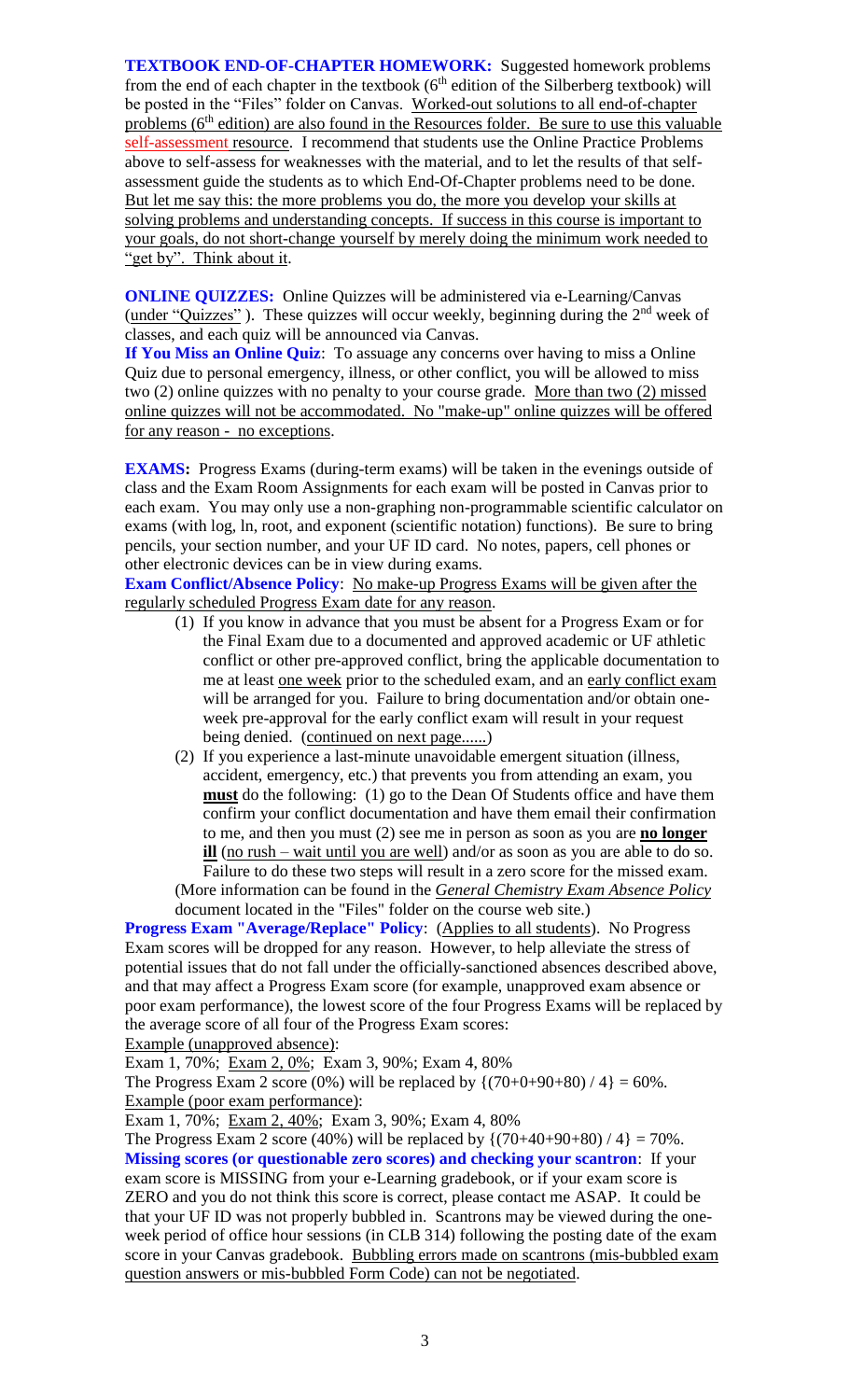**TEXTBOOK END-OF-CHAPTER HOMEWORK:** Suggested homework problems from the end of each chapter in the textbook  $(6<sup>th</sup>$  edition of the Silberberg textbook) will be posted in the "Files" folder on Canvas. Worked-out solutions to all end-of-chapter problems ( $6<sup>th</sup>$  edition) are also found in the Resources folder. Be sure to use this valuable self-assessment resource. I recommend that students use the Online Practice Problems above to self-assess for weaknesses with the material, and to let the results of that selfassessment guide the students as to which End-Of-Chapter problems need to be done. But let me say this: the more problems you do, the more you develop your skills at solving problems and understanding concepts. If success in this course is important to your goals, do not short-change yourself by merely doing the minimum work needed to "get by". Think about it.

**ONLINE QUIZZES:** Online Quizzes will be administered via e-Learning/Canvas (under "Quizzes"). These quizzes will occur weekly, beginning during the  $2<sup>nd</sup>$  week of classes, and each quiz will be announced via Canvas.

**If You Miss an Online Quiz**: To assuage any concerns over having to miss a Online Quiz due to personal emergency, illness, or other conflict, you will be allowed to miss two (2) online quizzes with no penalty to your course grade. More than two (2) missed online quizzes will not be accommodated. No "make-up" online quizzes will be offered for any reason - no exceptions.

**EXAMS:** Progress Exams (during-term exams) will be taken in the evenings outside of class and the Exam Room Assignments for each exam will be posted in Canvas prior to each exam. You may only use a non-graphing non-programmable scientific calculator on exams (with log, ln, root, and exponent (scientific notation) functions). Be sure to bring pencils, your section number, and your UF ID card. No notes, papers, cell phones or other electronic devices can be in view during exams.

**Exam Conflict/Absence Policy:** No make-up Progress Exams will be given after the regularly scheduled Progress Exam date for any reason.

- (1) If you know in advance that you must be absent for a Progress Exam or for the Final Exam due to a documented and approved academic or UF athletic conflict or other pre-approved conflict, bring the applicable documentation to me at least one week prior to the scheduled exam, and an early conflict exam will be arranged for you. Failure to bring documentation and/or obtain oneweek pre-approval for the early conflict exam will result in your request being denied. (continued on next page......)
- (2) If you experience a last-minute unavoidable emergent situation (illness, accident, emergency, etc.) that prevents you from attending an exam, you **must** do the following: (1) go to the Dean Of Students office and have them confirm your conflict documentation and have them email their confirmation to me, and then you must (2) see me in person as soon as you are **no longer ill** (no rush – wait until you are well) and/or as soon as you are able to do so. Failure to do these two steps will result in a zero score for the missed exam. (More information can be found in the *General Chemistry Exam Absence Policy* document located in the "Files" folder on the course web site.)

**Progress Exam "Average/Replace" Policy:** (Applies to all students). No Progress Exam scores will be dropped for any reason. However, to help alleviate the stress of potential issues that do not fall under the officially-sanctioned absences described above, and that may affect a Progress Exam score (for example, unapproved exam absence or poor exam performance), the lowest score of the four Progress Exams will be replaced by the average score of all four of the Progress Exam scores:

Example (unapproved absence):

Exam 1, 70%; Exam 2, 0%; Exam 3, 90%; Exam 4, 80%

The Progress Exam 2 score (0%) will be replaced by  ${(70+0+90+80) / 4} = 60\%$ . Example (poor exam performance):

Exam 1, 70%; Exam 2, 40%; Exam 3, 90%; Exam 4, 80%

The Progress Exam 2 score (40%) will be replaced by  ${(70+40+90+80) / 4} = 70%$ . **Missing scores (or questionable zero scores) and checking your scantron**: If your exam score is MISSING from your e-Learning gradebook, or if your exam score is ZERO and you do not think this score is correct, please contact me ASAP. It could be that your UF ID was not properly bubbled in. Scantrons may be viewed during the oneweek period of office hour sessions (in CLB 314) following the posting date of the exam score in your Canvas gradebook. Bubbling errors made on scantrons (mis-bubbled exam question answers or mis-bubbled Form Code) can not be negotiated.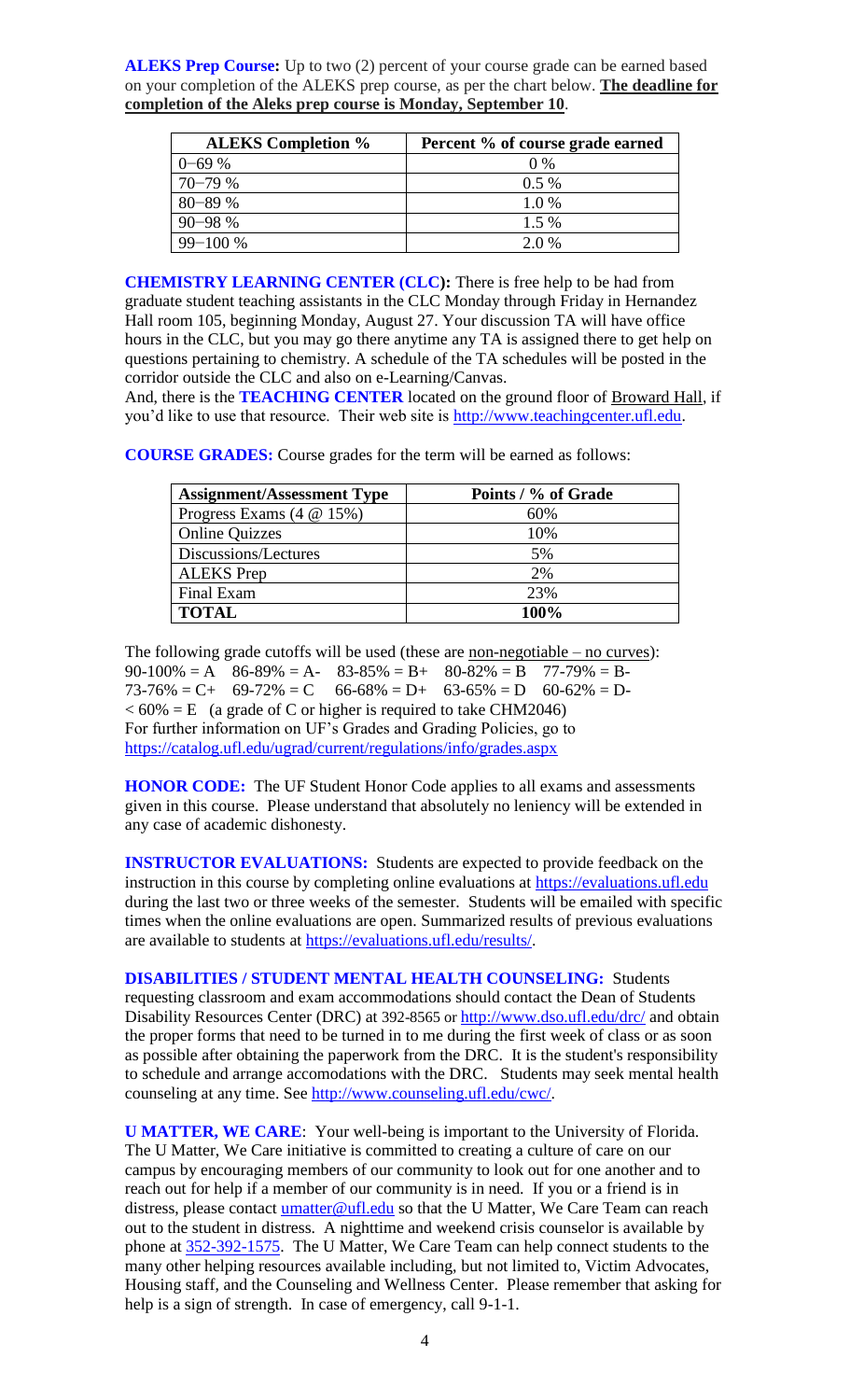**ALEKS Prep Course:** Up to two (2) percent of your course grade can be earned based on your completion of the ALEKS prep course, as per the chart below. **The deadline for completion of the Aleks prep course is Monday, September 10**.

| <b>ALEKS Completion %</b> | Percent % of course grade earned |
|---------------------------|----------------------------------|
| $0 - 69%$                 | $0\%$                            |
| $70 - 79%$                | $0.5\%$                          |
| $80 - 89%$                | 1.0%                             |
| $90 - 98%$                | $1.5\%$                          |
| $99 - 100 %$              | 2.0%                             |

**CHEMISTRY LEARNING CENTER (CLC):** There is free help to be had from graduate student teaching assistants in the CLC Monday through Friday in Hernandez Hall room 105, beginning Monday, August 27. Your discussion TA will have office hours in the CLC, but you may go there anytime any TA is assigned there to get help on questions pertaining to chemistry. A schedule of the TA schedules will be posted in the corridor outside the CLC and also on e-Learning/Canvas.

And, there is the **TEACHING CENTER** located on the ground floor of Broward Hall, if you'd like to use that resource. Their web site is [http://www.teachingcenter.ufl.edu.](http://www.teachingcenter.ufl.edu/)

**COURSE GRADES:** Course grades for the term will be earned as follows:

| <b>Assignment/Assessment Type</b> | Points / % of Grade |
|-----------------------------------|---------------------|
| Progress Exams $(4 \otimes 15\%)$ | 60%                 |
| <b>Online Quizzes</b>             | 10%                 |
| Discussions/Lectures              | 5%                  |
| <b>ALEKS</b> Prep                 | 2%                  |
| Final Exam                        | 23%                 |
| <b>TOTAL</b>                      | 100%                |

The following grade cutoffs will be used (these are non-negotiable – no curves):  $90-100\% = A$   $86-89\% = A$ -  $83-85\% = B$ +  $80-82\% = B$   $77-79\% = B$ - $73-76\% = C+ 69-72\% = C - 66-68\% = D+ 63-65\% = D - 60-62\% = D < 60\% = E$  (a grade of C or higher is required to take CHM2046) For further information on UF's Grades and Grading Policies, go to <https://catalog.ufl.edu/ugrad/current/regulations/info/grades.aspx>

**HONOR CODE:** The UF Student Honor Code applies to all exams and assessments given in this course. Please understand that absolutely no leniency will be extended in any case of academic dishonesty.

**INSTRUCTOR EVALUATIONS:** Students are expected to provide feedback on the instruction in this course by completing online evaluations at [https://evaluations.ufl.edu](https://evaluations.ufl.edu/) during the last two or three weeks of the semester. Students will be emailed with specific times when the online evaluations are open. Summarized results of previous evaluations are available to students at [https://evaluations.ufl.edu/results/.](https://evaluations.ufl.edu/results/)

**DISABILITIES / STUDENT MENTAL HEALTH COUNSELING:** Students requesting classroom and exam accommodations should contact the Dean of Students Disability Resources Center (DRC) at 392-8565 or <http://www.dso.ufl.edu/drc/> and obtain the proper forms that need to be turned in to me during the first week of class or as soon as possible after obtaining the paperwork from the DRC. It is the student's responsibility to schedule and arrange accomodations with the DRC. Students may seek mental health counseling at any time. See [http://www.counseling.ufl.edu/cwc/.](http://www.counseling.ufl.edu/cwc/)

**U MATTER, WE CARE**: Your well-being is important to the University of Florida. The U Matter, We Care initiative is committed to creating a culture of care on our campus by encouraging members of our community to look out for one another and to reach out for help if a member of our community is in need. If you or a friend is in distress, please contact [umatter@ufl.edu](mailto:umatter@ufl.edu) so that the U Matter, We Care Team can reach out to the student in distress. A nighttime and weekend crisis counselor is available by phone at [352-392-1575.](tel:352-392-1575) The U Matter, We Care Team can help connect students to the many other helping resources available including, but not limited to, Victim Advocates, Housing staff, and the Counseling and Wellness Center. Please remember that asking for help is a sign of strength. In case of emergency, call 9-1-1.